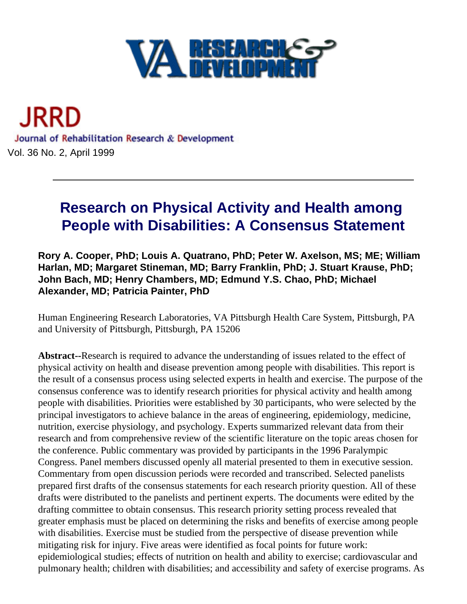

<span id="page-0-0"></span>

# **Research on Physical Activity and Health among People with Disabilities: A Consensus Statement**

**Rory A. Cooper, PhD; Louis A. Quatrano, PhD; Peter W. Axelson, MS; ME; William Harlan, MD; Margaret Stineman, MD; Barry Franklin, PhD; J. Stuart Krause, PhD; John Bach, MD; Henry Chambers, MD; Edmund Y.S. Chao, PhD; Michael Alexander, MD; Patricia Painter, PhD**

Human Engineering Research Laboratories, VA Pittsburgh Health Care System, Pittsburgh, PA and University of Pittsburgh, Pittsburgh, PA 15206

**Abstract--**Research is required to advance the understanding of issues related to the effect of physical activity on health and disease prevention among people with disabilities. This report is the result of a consensus process using selected experts in health and exercise. The purpose of the consensus conference was to identify research priorities for physical activity and health among people with disabilities. Priorities were established by 30 participants, who were selected by the principal investigators to achieve balance in the areas of engineering, epidemiology, medicine, nutrition, exercise physiology, and psychology. Experts summarized relevant data from their research and from comprehensive review of the scientific literature on the topic areas chosen for the conference. Public commentary was provided by participants in the 1996 Paralympic Congress. Panel members discussed openly all material presented to them in executive session. Commentary from open discussion periods were recorded and transcribed. Selected panelists prepared first drafts of the consensus statements for each research priority question. All of these drafts were distributed to the panelists and pertinent experts. The documents were edited by the drafting committee to obtain consensus. This research priority setting process revealed that greater emphasis must be placed on determining the risks and benefits of exercise among people with disabilities. Exercise must be studied from the perspective of disease prevention while mitigating risk for injury. Five areas were identified as focal points for future work: epidemiological studies; effects of nutrition on health and ability to exercise; cardiovascular and pulmonary health; children with disabilities; and accessibility and safety of exercise programs. As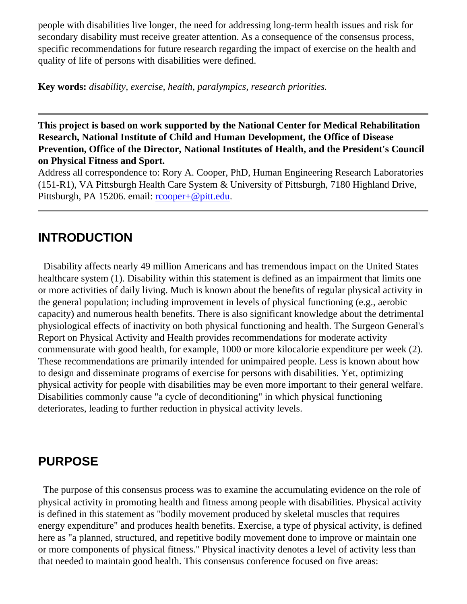people with disabilities live longer, the need for addressing long-term health issues and risk for secondary disability must receive greater attention. As a consequence of the consensus process, specific recommendations for future research regarding the impact of exercise on the health and quality of life of persons with disabilities were defined.

**Key words:** *disability, exercise, health, paralympics, research priorities.*

**This project is based on work supported by the National Center for Medical Rehabilitation Research, National Institute of Child and Human Development, the Office of Disease Prevention, Office of the Director, National Institutes of Health, and the President's Council on Physical Fitness and Sport.**

Address all correspondence to: Rory A. Cooper, PhD, Human Engineering Research Laboratories (151-R1), VA Pittsburgh Health Care System & University of Pittsburgh, 7180 Highland Drive, Pittsburgh, PA 15206. email: [rcooper+@pitt.edu](mailto:rcooper+@pitt.edu).

### **INTRODUCTION**

 Disability affects nearly 49 million Americans and has tremendous impact on the United States healthcare system (1). Disability within this statement is defined as an impairment that limits one or more activities of daily living. Much is known about the benefits of regular physical activity in the general population; including improvement in levels of physical functioning (e.g., aerobic capacity) and numerous health benefits. There is also significant knowledge about the detrimental physiological effects of inactivity on both physical functioning and health. The Surgeon General's Report on Physical Activity and Health provides recommendations for moderate activity commensurate with good health, for example, 1000 or more kilocalorie expenditure per week (2). These recommendations are primarily intended for unimpaired people. Less is known about how to design and disseminate programs of exercise for persons with disabilities. Yet, optimizing physical activity for people with disabilities may be even more important to their general welfare. Disabilities commonly cause "a cycle of deconditioning" in which physical functioning deteriorates, leading to further reduction in physical activity levels.

### **PURPOSE**

 The purpose of this consensus process was to examine the accumulating evidence on the role of physical activity in promoting health and fitness among people with disabilities. Physical activity is defined in this statement as "bodily movement produced by skeletal muscles that requires energy expenditure" and produces health benefits. Exercise, a type of physical activity, is defined here as "a planned, structured, and repetitive bodily movement done to improve or maintain one or more components of physical fitness." Physical inactivity denotes a level of activity less than that needed to maintain good health. This consensus conference focused on five areas: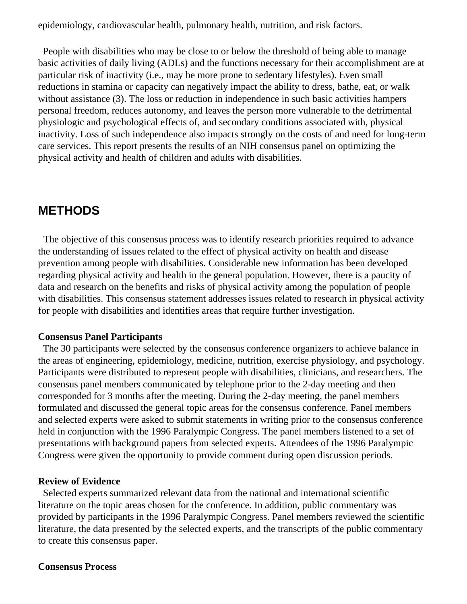epidemiology, cardiovascular health, pulmonary health, nutrition, and risk factors.

 People with disabilities who may be close to or below the threshold of being able to manage basic activities of daily living (ADLs) and the functions necessary for their accomplishment are at particular risk of inactivity (i.e., may be more prone to sedentary lifestyles). Even small reductions in stamina or capacity can negatively impact the ability to dress, bathe, eat, or walk without assistance (3). The loss or reduction in independence in such basic activities hampers personal freedom, reduces autonomy, and leaves the person more vulnerable to the detrimental physiologic and psychological effects of, and secondary conditions associated with, physical inactivity. Loss of such independence also impacts strongly on the costs of and need for long-term care services. This report presents the results of an NIH consensus panel on optimizing the physical activity and health of children and adults with disabilities.

### **METHODS**

 The objective of this consensus process was to identify research priorities required to advance the understanding of issues related to the effect of physical activity on health and disease prevention among people with disabilities. Considerable new information has been developed regarding physical activity and health in the general population. However, there is a paucity of data and research on the benefits and risks of physical activity among the population of people with disabilities. This consensus statement addresses issues related to research in physical activity for people with disabilities and identifies areas that require further investigation.

#### **Consensus Panel Participants**

 The 30 participants were selected by the consensus conference organizers to achieve balance in the areas of engineering, epidemiology, medicine, nutrition, exercise physiology, and psychology. Participants were distributed to represent people with disabilities, clinicians, and researchers. The consensus panel members communicated by telephone prior to the 2-day meeting and then corresponded for 3 months after the meeting. During the 2-day meeting, the panel members formulated and discussed the general topic areas for the consensus conference. Panel members and selected experts were asked to submit statements in writing prior to the consensus conference held in conjunction with the 1996 Paralympic Congress. The panel members listened to a set of presentations with background papers from selected experts. Attendees of the 1996 Paralympic Congress were given the opportunity to provide comment during open discussion periods.

#### **Review of Evidence**

 Selected experts summarized relevant data from the national and international scientific literature on the topic areas chosen for the conference. In addition, public commentary was provided by participants in the 1996 Paralympic Congress. Panel members reviewed the scientific literature, the data presented by the selected experts, and the transcripts of the public commentary to create this consensus paper.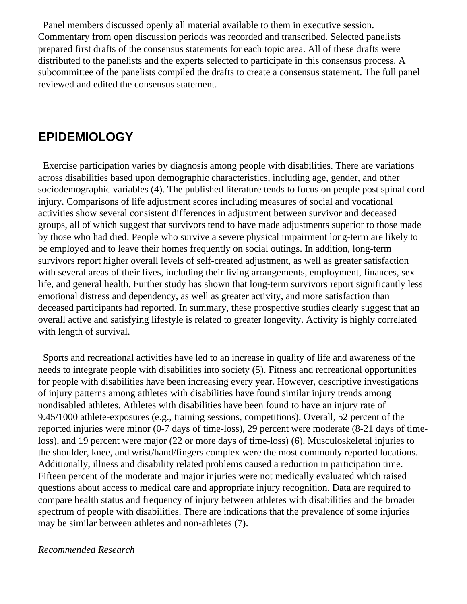Panel members discussed openly all material available to them in executive session. Commentary from open discussion periods was recorded and transcribed. Selected panelists prepared first drafts of the consensus statements for each topic area. All of these drafts were distributed to the panelists and the experts selected to participate in this consensus process. A subcommittee of the panelists compiled the drafts to create a consensus statement. The full panel reviewed and edited the consensus statement.

## **EPIDEMIOLOGY**

 Exercise participation varies by diagnosis among people with disabilities. There are variations across disabilities based upon demographic characteristics, including age, gender, and other sociodemographic variables (4). The published literature tends to focus on people post spinal cord injury. Comparisons of life adjustment scores including measures of social and vocational activities show several consistent differences in adjustment between survivor and deceased groups, all of which suggest that survivors tend to have made adjustments superior to those made by those who had died. People who survive a severe physical impairment long-term are likely to be employed and to leave their homes frequently on social outings. In addition, long-term survivors report higher overall levels of self-created adjustment, as well as greater satisfaction with several areas of their lives, including their living arrangements, employment, finances, sex life, and general health. Further study has shown that long-term survivors report significantly less emotional distress and dependency, as well as greater activity, and more satisfaction than deceased participants had reported. In summary, these prospective studies clearly suggest that an overall active and satisfying lifestyle is related to greater longevity. Activity is highly correlated with length of survival.

 Sports and recreational activities have led to an increase in quality of life and awareness of the needs to integrate people with disabilities into society (5). Fitness and recreational opportunities for people with disabilities have been increasing every year. However, descriptive investigations of injury patterns among athletes with disabilities have found similar injury trends among nondisabled athletes. Athletes with disabilities have been found to have an injury rate of 9.45/1000 athlete-exposures (e.g., training sessions, competitions). Overall, 52 percent of the reported injuries were minor (0-7 days of time-loss), 29 percent were moderate (8-21 days of timeloss), and 19 percent were major (22 or more days of time-loss) (6). Musculoskeletal injuries to the shoulder, knee, and wrist/hand/fingers complex were the most commonly reported locations. Additionally, illness and disability related problems caused a reduction in participation time. Fifteen percent of the moderate and major injuries were not medically evaluated which raised questions about access to medical care and appropriate injury recognition. Data are required to compare health status and frequency of injury between athletes with disabilities and the broader spectrum of people with disabilities. There are indications that the prevalence of some injuries may be similar between athletes and non-athletes (7).

### *Recommended Research*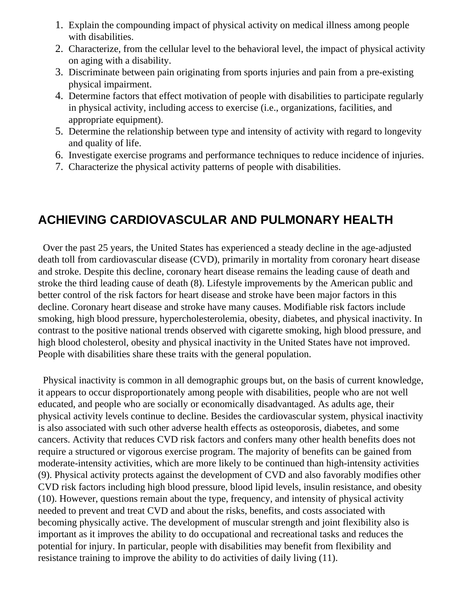- 1. Explain the compounding impact of physical activity on medical illness among people with disabilities.
- 2. Characterize, from the cellular level to the behavioral level, the impact of physical activity on aging with a disability.
- 3. Discriminate between pain originating from sports injuries and pain from a pre-existing physical impairment.
- 4. Determine factors that effect motivation of people with disabilities to participate regularly in physical activity, including access to exercise (i.e., organizations, facilities, and appropriate equipment).
- 5. Determine the relationship between type and intensity of activity with regard to longevity and quality of life.
- 6. Investigate exercise programs and performance techniques to reduce incidence of injuries.
- 7. Characterize the physical activity patterns of people with disabilities.

## **ACHIEVING CARDIOVASCULAR AND PULMONARY HEALTH**

 Over the past 25 years, the United States has experienced a steady decline in the age-adjusted death toll from cardiovascular disease (CVD), primarily in mortality from coronary heart disease and stroke. Despite this decline, coronary heart disease remains the leading cause of death and stroke the third leading cause of death (8). Lifestyle improvements by the American public and better control of the risk factors for heart disease and stroke have been major factors in this decline. Coronary heart disease and stroke have many causes. Modifiable risk factors include smoking, high blood pressure, hypercholesterolemia, obesity, diabetes, and physical inactivity. In contrast to the positive national trends observed with cigarette smoking, high blood pressure, and high blood cholesterol, obesity and physical inactivity in the United States have not improved. People with disabilities share these traits with the general population.

 Physical inactivity is common in all demographic groups but, on the basis of current knowledge, it appears to occur disproportionately among people with disabilities, people who are not well educated, and people who are socially or economically disadvantaged. As adults age, their physical activity levels continue to decline. Besides the cardiovascular system, physical inactivity is also associated with such other adverse health effects as osteoporosis, diabetes, and some cancers. Activity that reduces CVD risk factors and confers many other health benefits does not require a structured or vigorous exercise program. The majority of benefits can be gained from moderate-intensity activities, which are more likely to be continued than high-intensity activities (9). Physical activity protects against the development of CVD and also favorably modifies other CVD risk factors including high blood pressure, blood lipid levels, insulin resistance, and obesity (10). However, questions remain about the type, frequency, and intensity of physical activity needed to prevent and treat CVD and about the risks, benefits, and costs associated with becoming physically active. The development of muscular strength and joint flexibility also is important as it improves the ability to do occupational and recreational tasks and reduces the potential for injury. In particular, people with disabilities may benefit from flexibility and resistance training to improve the ability to do activities of daily living (11).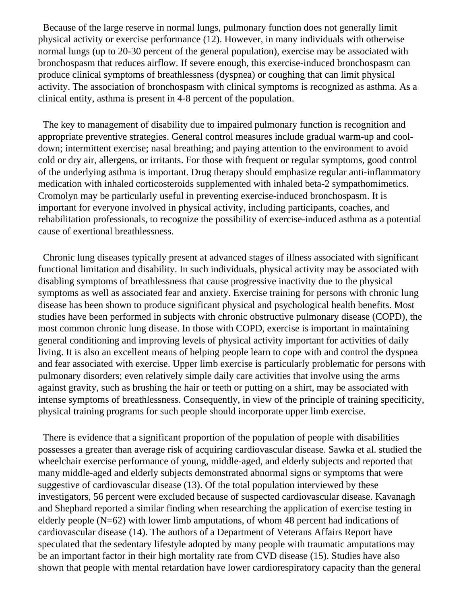Because of the large reserve in normal lungs, pulmonary function does not generally limit physical activity or exercise performance (12). However, in many individuals with otherwise normal lungs (up to 20-30 percent of the general population), exercise may be associated with bronchospasm that reduces airflow. If severe enough, this exercise-induced bronchospasm can produce clinical symptoms of breathlessness (dyspnea) or coughing that can limit physical activity. The association of bronchospasm with clinical symptoms is recognized as asthma. As a clinical entity, asthma is present in 4-8 percent of the population.

 The key to management of disability due to impaired pulmonary function is recognition and appropriate preventive strategies. General control measures include gradual warm-up and cooldown; intermittent exercise; nasal breathing; and paying attention to the environment to avoid cold or dry air, allergens, or irritants. For those with frequent or regular symptoms, good control of the underlying asthma is important. Drug therapy should emphasize regular anti-inflammatory medication with inhaled corticosteroids supplemented with inhaled beta-2 sympathomimetics. Cromolyn may be particularly useful in preventing exercise-induced bronchospasm. It is important for everyone involved in physical activity, including participants, coaches, and rehabilitation professionals, to recognize the possibility of exercise-induced asthma as a potential cause of exertional breathlessness.

 Chronic lung diseases typically present at advanced stages of illness associated with significant functional limitation and disability. In such individuals, physical activity may be associated with disabling symptoms of breathlessness that cause progressive inactivity due to the physical symptoms as well as associated fear and anxiety. Exercise training for persons with chronic lung disease has been shown to produce significant physical and psychological health benefits. Most studies have been performed in subjects with chronic obstructive pulmonary disease (COPD), the most common chronic lung disease. In those with COPD, exercise is important in maintaining general conditioning and improving levels of physical activity important for activities of daily living. It is also an excellent means of helping people learn to cope with and control the dyspnea and fear associated with exercise. Upper limb exercise is particularly problematic for persons with pulmonary disorders; even relatively simple daily care activities that involve using the arms against gravity, such as brushing the hair or teeth or putting on a shirt, may be associated with intense symptoms of breathlessness. Consequently, in view of the principle of training specificity, physical training programs for such people should incorporate upper limb exercise.

 There is evidence that a significant proportion of the population of people with disabilities possesses a greater than average risk of acquiring cardiovascular disease. Sawka et al. studied the wheelchair exercise performance of young, middle-aged, and elderly subjects and reported that many middle-aged and elderly subjects demonstrated abnormal signs or symptoms that were suggestive of cardiovascular disease (13). Of the total population interviewed by these investigators, 56 percent were excluded because of suspected cardiovascular disease. Kavanagh and Shephard reported a similar finding when researching the application of exercise testing in elderly people  $(N=62)$  with lower limb amputations, of whom 48 percent had indications of cardiovascular disease (14). The authors of a Department of Veterans Affairs Report have speculated that the sedentary lifestyle adopted by many people with traumatic amputations may be an important factor in their high mortality rate from CVD disease (15). Studies have also shown that people with mental retardation have lower cardiorespiratory capacity than the general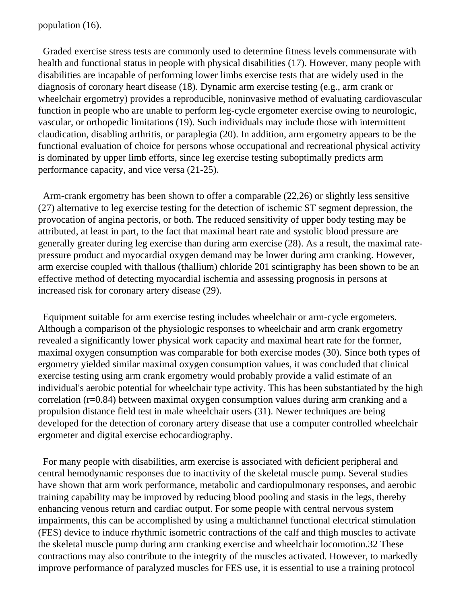population (16).

 Graded exercise stress tests are commonly used to determine fitness levels commensurate with health and functional status in people with physical disabilities (17). However, many people with disabilities are incapable of performing lower limbs exercise tests that are widely used in the diagnosis of coronary heart disease (18). Dynamic arm exercise testing (e.g., arm crank or wheelchair ergometry) provides a reproducible, noninvasive method of evaluating cardiovascular function in people who are unable to perform leg-cycle ergometer exercise owing to neurologic, vascular, or orthopedic limitations (19). Such individuals may include those with intermittent claudication, disabling arthritis, or paraplegia (20). In addition, arm ergometry appears to be the functional evaluation of choice for persons whose occupational and recreational physical activity is dominated by upper limb efforts, since leg exercise testing suboptimally predicts arm performance capacity, and vice versa (21-25).

 Arm-crank ergometry has been shown to offer a comparable (22,26) or slightly less sensitive (27) alternative to leg exercise testing for the detection of ischemic ST segment depression, the provocation of angina pectoris, or both. The reduced sensitivity of upper body testing may be attributed, at least in part, to the fact that maximal heart rate and systolic blood pressure are generally greater during leg exercise than during arm exercise (28). As a result, the maximal ratepressure product and myocardial oxygen demand may be lower during arm cranking. However, arm exercise coupled with thallous (thallium) chloride 201 scintigraphy has been shown to be an effective method of detecting myocardial ischemia and assessing prognosis in persons at increased risk for coronary artery disease (29).

 Equipment suitable for arm exercise testing includes wheelchair or arm-cycle ergometers. Although a comparison of the physiologic responses to wheelchair and arm crank ergometry revealed a significantly lower physical work capacity and maximal heart rate for the former, maximal oxygen consumption was comparable for both exercise modes (30). Since both types of ergometry yielded similar maximal oxygen consumption values, it was concluded that clinical exercise testing using arm crank ergometry would probably provide a valid estimate of an individual's aerobic potential for wheelchair type activity. This has been substantiated by the high correlation (r=0.84) between maximal oxygen consumption values during arm cranking and a propulsion distance field test in male wheelchair users (31). Newer techniques are being developed for the detection of coronary artery disease that use a computer controlled wheelchair ergometer and digital exercise echocardiography.

 For many people with disabilities, arm exercise is associated with deficient peripheral and central hemodynamic responses due to inactivity of the skeletal muscle pump. Several studies have shown that arm work performance, metabolic and cardiopulmonary responses, and aerobic training capability may be improved by reducing blood pooling and stasis in the legs, thereby enhancing venous return and cardiac output. For some people with central nervous system impairments, this can be accomplished by using a multichannel functional electrical stimulation (FES) device to induce rhythmic isometric contractions of the calf and thigh muscles to activate the skeletal muscle pump during arm cranking exercise and wheelchair locomotion.32 These contractions may also contribute to the integrity of the muscles activated. However, to markedly improve performance of paralyzed muscles for FES use, it is essential to use a training protocol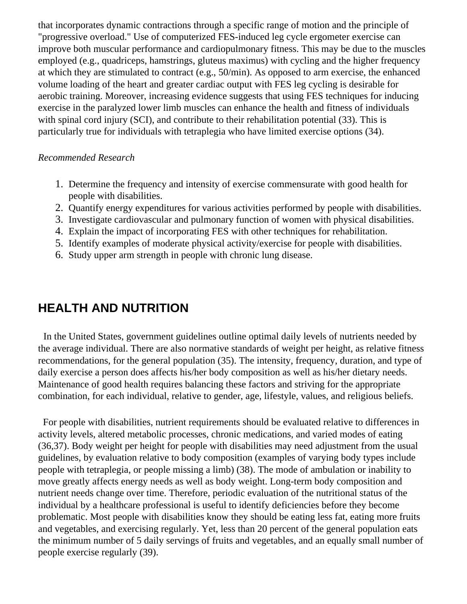that incorporates dynamic contractions through a specific range of motion and the principle of "progressive overload." Use of computerized FES-induced leg cycle ergometer exercise can improve both muscular performance and cardiopulmonary fitness. This may be due to the muscles employed (e.g., quadriceps, hamstrings, gluteus maximus) with cycling and the higher frequency at which they are stimulated to contract (e.g., 50/min). As opposed to arm exercise, the enhanced volume loading of the heart and greater cardiac output with FES leg cycling is desirable for aerobic training. Moreover, increasing evidence suggests that using FES techniques for inducing exercise in the paralyzed lower limb muscles can enhance the health and fitness of individuals with spinal cord injury (SCI), and contribute to their rehabilitation potential (33). This is particularly true for individuals with tetraplegia who have limited exercise options (34).

#### *Recommended Research*

- 1. Determine the frequency and intensity of exercise commensurate with good health for people with disabilities.
- 2. Quantify energy expenditures for various activities performed by people with disabilities.
- 3. Investigate cardiovascular and pulmonary function of women with physical disabilities.
- 4. Explain the impact of incorporating FES with other techniques for rehabilitation.
- 5. Identify examples of moderate physical activity/exercise for people with disabilities.
- 6. Study upper arm strength in people with chronic lung disease.

## **HEALTH AND NUTRITION**

 In the United States, government guidelines outline optimal daily levels of nutrients needed by the average individual. There are also normative standards of weight per height, as relative fitness recommendations, for the general population (35). The intensity, frequency, duration, and type of daily exercise a person does affects his/her body composition as well as his/her dietary needs. Maintenance of good health requires balancing these factors and striving for the appropriate combination, for each individual, relative to gender, age, lifestyle, values, and religious beliefs.

 For people with disabilities, nutrient requirements should be evaluated relative to differences in activity levels, altered metabolic processes, chronic medications, and varied modes of eating (36,37). Body weight per height for people with disabilities may need adjustment from the usual guidelines, by evaluation relative to body composition (examples of varying body types include people with tetraplegia, or people missing a limb) (38). The mode of ambulation or inability to move greatly affects energy needs as well as body weight. Long-term body composition and nutrient needs change over time. Therefore, periodic evaluation of the nutritional status of the individual by a healthcare professional is useful to identify deficiencies before they become problematic. Most people with disabilities know they should be eating less fat, eating more fruits and vegetables, and exercising regularly. Yet, less than 20 percent of the general population eats the minimum number of 5 daily servings of fruits and vegetables, and an equally small number of people exercise regularly (39).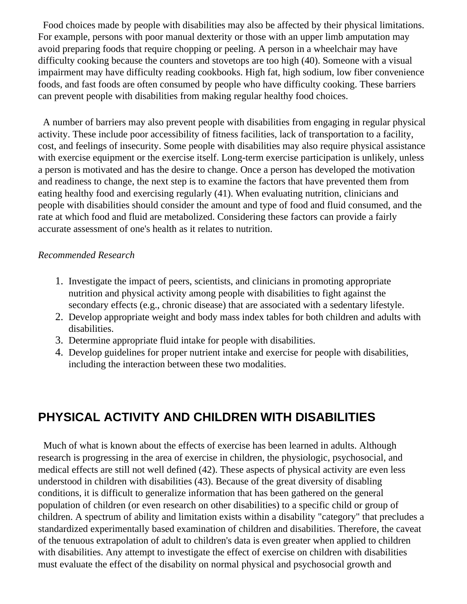Food choices made by people with disabilities may also be affected by their physical limitations. For example, persons with poor manual dexterity or those with an upper limb amputation may avoid preparing foods that require chopping or peeling. A person in a wheelchair may have difficulty cooking because the counters and stovetops are too high (40). Someone with a visual impairment may have difficulty reading cookbooks. High fat, high sodium, low fiber convenience foods, and fast foods are often consumed by people who have difficulty cooking. These barriers can prevent people with disabilities from making regular healthy food choices.

 A number of barriers may also prevent people with disabilities from engaging in regular physical activity. These include poor accessibility of fitness facilities, lack of transportation to a facility, cost, and feelings of insecurity. Some people with disabilities may also require physical assistance with exercise equipment or the exercise itself. Long-term exercise participation is unlikely, unless a person is motivated and has the desire to change. Once a person has developed the motivation and readiness to change, the next step is to examine the factors that have prevented them from eating healthy food and exercising regularly (41). When evaluating nutrition, clinicians and people with disabilities should consider the amount and type of food and fluid consumed, and the rate at which food and fluid are metabolized. Considering these factors can provide a fairly accurate assessment of one's health as it relates to nutrition.

#### *Recommended Research*

- 1. Investigate the impact of peers, scientists, and clinicians in promoting appropriate nutrition and physical activity among people with disabilities to fight against the secondary effects (e.g., chronic disease) that are associated with a sedentary lifestyle.
- 2. Develop appropriate weight and body mass index tables for both children and adults with disabilities.
- 3. Determine appropriate fluid intake for people with disabilities.
- 4. Develop guidelines for proper nutrient intake and exercise for people with disabilities, including the interaction between these two modalities.

## **PHYSICAL ACTIVITY AND CHILDREN WITH DISABILITIES**

 Much of what is known about the effects of exercise has been learned in adults. Although research is progressing in the area of exercise in children, the physiologic, psychosocial, and medical effects are still not well defined (42). These aspects of physical activity are even less understood in children with disabilities (43). Because of the great diversity of disabling conditions, it is difficult to generalize information that has been gathered on the general population of children (or even research on other disabilities) to a specific child or group of children. A spectrum of ability and limitation exists within a disability "category" that precludes a standardized experimentally based examination of children and disabilities. Therefore, the caveat of the tenuous extrapolation of adult to children's data is even greater when applied to children with disabilities. Any attempt to investigate the effect of exercise on children with disabilities must evaluate the effect of the disability on normal physical and psychosocial growth and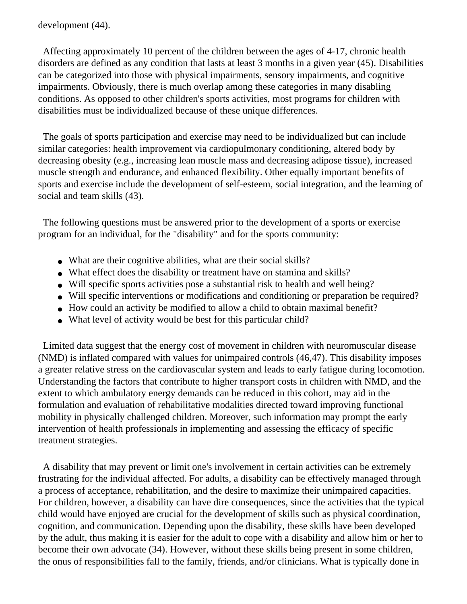development (44).

 Affecting approximately 10 percent of the children between the ages of 4-17, chronic health disorders are defined as any condition that lasts at least 3 months in a given year (45). Disabilities can be categorized into those with physical impairments, sensory impairments, and cognitive impairments. Obviously, there is much overlap among these categories in many disabling conditions. As opposed to other children's sports activities, most programs for children with disabilities must be individualized because of these unique differences.

 The goals of sports participation and exercise may need to be individualized but can include similar categories: health improvement via cardiopulmonary conditioning, altered body by decreasing obesity (e.g., increasing lean muscle mass and decreasing adipose tissue), increased muscle strength and endurance, and enhanced flexibility. Other equally important benefits of sports and exercise include the development of self-esteem, social integration, and the learning of social and team skills (43).

 The following questions must be answered prior to the development of a sports or exercise program for an individual, for the "disability" and for the sports community:

- What are their cognitive abilities, what are their social skills?
- What effect does the disability or treatment have on stamina and skills?
- Will specific sports activities pose a substantial risk to health and well being?
- Will specific interventions or modifications and conditioning or preparation be required?
- How could an activity be modified to allow a child to obtain maximal benefit?
- What level of activity would be best for this particular child?

 Limited data suggest that the energy cost of movement in children with neuromuscular disease (NMD) is inflated compared with values for unimpaired controls (46,47). This disability imposes a greater relative stress on the cardiovascular system and leads to early fatigue during locomotion. Understanding the factors that contribute to higher transport costs in children with NMD, and the extent to which ambulatory energy demands can be reduced in this cohort, may aid in the formulation and evaluation of rehabilitative modalities directed toward improving functional mobility in physically challenged children. Moreover, such information may prompt the early intervention of health professionals in implementing and assessing the efficacy of specific treatment strategies.

 A disability that may prevent or limit one's involvement in certain activities can be extremely frustrating for the individual affected. For adults, a disability can be effectively managed through a process of acceptance, rehabilitation, and the desire to maximize their unimpaired capacities. For children, however, a disability can have dire consequences, since the activities that the typical child would have enjoyed are crucial for the development of skills such as physical coordination, cognition, and communication. Depending upon the disability, these skills have been developed by the adult, thus making it is easier for the adult to cope with a disability and allow him or her to become their own advocate (34). However, without these skills being present in some children, the onus of responsibilities fall to the family, friends, and/or clinicians. What is typically done in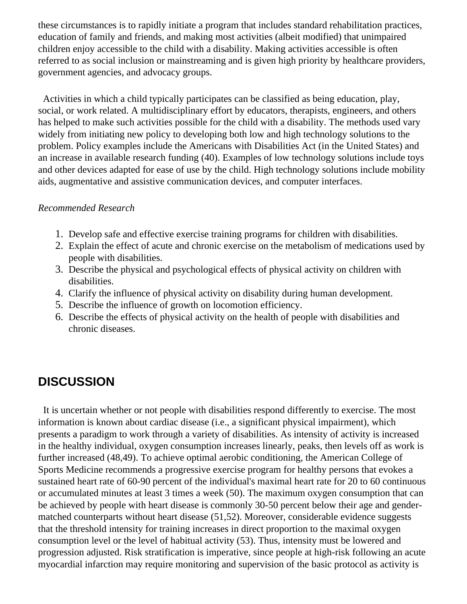these circumstances is to rapidly initiate a program that includes standard rehabilitation practices, education of family and friends, and making most activities (albeit modified) that unimpaired children enjoy accessible to the child with a disability. Making activities accessible is often referred to as social inclusion or mainstreaming and is given high priority by healthcare providers, government agencies, and advocacy groups.

 Activities in which a child typically participates can be classified as being education, play, social, or work related. A multidisciplinary effort by educators, therapists, engineers, and others has helped to make such activities possible for the child with a disability. The methods used vary widely from initiating new policy to developing both low and high technology solutions to the problem. Policy examples include the Americans with Disabilities Act (in the United States) and an increase in available research funding (40). Examples of low technology solutions include toys and other devices adapted for ease of use by the child. High technology solutions include mobility aids, augmentative and assistive communication devices, and computer interfaces.

#### *Recommended Research*

- 1. Develop safe and effective exercise training programs for children with disabilities.
- 2. Explain the effect of acute and chronic exercise on the metabolism of medications used by people with disabilities.
- 3. Describe the physical and psychological effects of physical activity on children with disabilities.
- 4. Clarify the influence of physical activity on disability during human development.
- 5. Describe the influence of growth on locomotion efficiency.
- 6. Describe the effects of physical activity on the health of people with disabilities and chronic diseases.

## **DISCUSSION**

 It is uncertain whether or not people with disabilities respond differently to exercise. The most information is known about cardiac disease (i.e., a significant physical impairment), which presents a paradigm to work through a variety of disabilities. As intensity of activity is increased in the healthy individual, oxygen consumption increases linearly, peaks, then levels off as work is further increased (48,49). To achieve optimal aerobic conditioning, the American College of Sports Medicine recommends a progressive exercise program for healthy persons that evokes a sustained heart rate of 60-90 percent of the individual's maximal heart rate for 20 to 60 continuous or accumulated minutes at least 3 times a week (50). The maximum oxygen consumption that can be achieved by people with heart disease is commonly 30-50 percent below their age and gendermatched counterparts without heart disease (51,52). Moreover, considerable evidence suggests that the threshold intensity for training increases in direct proportion to the maximal oxygen consumption level or the level of habitual activity (53). Thus, intensity must be lowered and progression adjusted. Risk stratification is imperative, since people at high-risk following an acute myocardial infarction may require monitoring and supervision of the basic protocol as activity is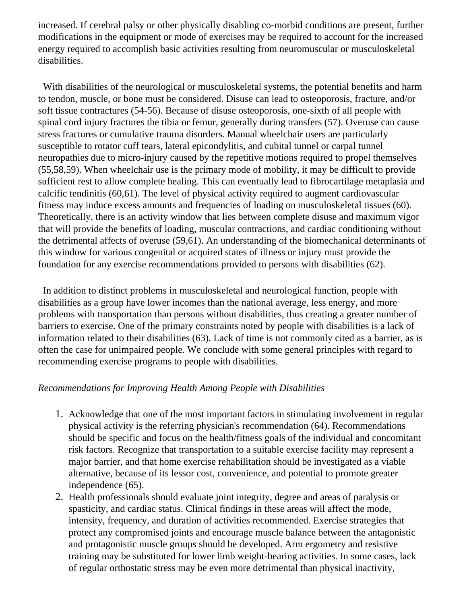increased. If cerebral palsy or other physically disabling co-morbid conditions are present, further modifications in the equipment or mode of exercises may be required to account for the increased energy required to accomplish basic activities resulting from neuromuscular or musculoskeletal disabilities.

 With disabilities of the neurological or musculoskeletal systems, the potential benefits and harm to tendon, muscle, or bone must be considered. Disuse can lead to osteoporosis, fracture, and/or soft tissue contractures (54-56). Because of disuse osteoporosis, one-sixth of all people with spinal cord injury fractures the tibia or femur, generally during transfers (57). Overuse can cause stress fractures or cumulative trauma disorders. Manual wheelchair users are particularly susceptible to rotator cuff tears, lateral epicondylitis, and cubital tunnel or carpal tunnel neuropathies due to micro-injury caused by the repetitive motions required to propel themselves (55,58,59). When wheelchair use is the primary mode of mobility, it may be difficult to provide sufficient rest to allow complete healing. This can eventually lead to fibrocartilage metaplasia and calcific tendinitis (60,61). The level of physical activity required to augment cardiovascular fitness may induce excess amounts and frequencies of loading on musculoskeletal tissues (60). Theoretically, there is an activity window that lies between complete disuse and maximum vigor that will provide the benefits of loading, muscular contractions, and cardiac conditioning without the detrimental affects of overuse (59,61). An understanding of the biomechanical determinants of this window for various congenital or acquired states of illness or injury must provide the foundation for any exercise recommendations provided to persons with disabilities (62).

 In addition to distinct problems in musculoskeletal and neurological function, people with disabilities as a group have lower incomes than the national average, less energy, and more problems with transportation than persons without disabilities, thus creating a greater number of barriers to exercise. One of the primary constraints noted by people with disabilities is a lack of information related to their disabilities (63). Lack of time is not commonly cited as a barrier, as is often the case for unimpaired people. We conclude with some general principles with regard to recommending exercise programs to people with disabilities.

### *Recommendations for Improving Health Among People with Disabilities*

- 1. Acknowledge that one of the most important factors in stimulating involvement in regular physical activity is the referring physician's recommendation (64). Recommendations should be specific and focus on the health/fitness goals of the individual and concomitant risk factors. Recognize that transportation to a suitable exercise facility may represent a major barrier, and that home exercise rehabilitation should be investigated as a viable alternative, because of its lessor cost, convenience, and potential to promote greater independence (65).
- 2. Health professionals should evaluate joint integrity, degree and areas of paralysis or spasticity, and cardiac status. Clinical findings in these areas will affect the mode, intensity, frequency, and duration of activities recommended. Exercise strategies that protect any compromised joints and encourage muscle balance between the antagonistic and protagonistic muscle groups should be developed. Arm ergometry and resistive training may be substituted for lower limb weight-bearing activities. In some cases, lack of regular orthostatic stress may be even more detrimental than physical inactivity,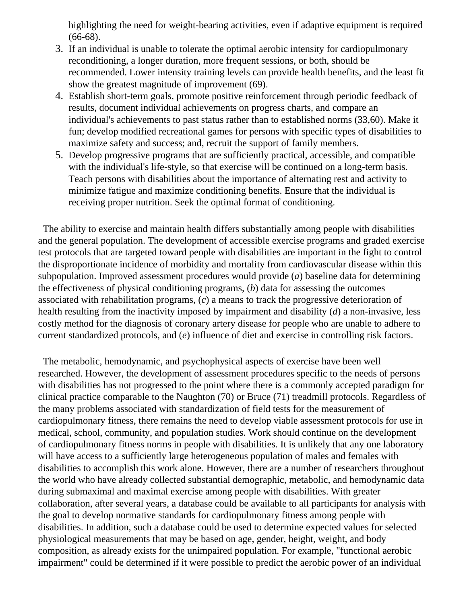highlighting the need for weight-bearing activities, even if adaptive equipment is required (66-68).

- 3. If an individual is unable to tolerate the optimal aerobic intensity for cardiopulmonary reconditioning, a longer duration, more frequent sessions, or both, should be recommended. Lower intensity training levels can provide health benefits, and the least fit show the greatest magnitude of improvement (69).
- 4. Establish short-term goals, promote positive reinforcement through periodic feedback of results, document individual achievements on progress charts, and compare an individual's achievements to past status rather than to established norms (33,60). Make it fun; develop modified recreational games for persons with specific types of disabilities to maximize safety and success; and, recruit the support of family members.
- 5. Develop progressive programs that are sufficiently practical, accessible, and compatible with the individual's life-style, so that exercise will be continued on a long-term basis. Teach persons with disabilities about the importance of alternating rest and activity to minimize fatigue and maximize conditioning benefits. Ensure that the individual is receiving proper nutrition. Seek the optimal format of conditioning.

 The ability to exercise and maintain health differs substantially among people with disabilities and the general population. The development of accessible exercise programs and graded exercise test protocols that are targeted toward people with disabilities are important in the fight to control the disproportionate incidence of morbidity and mortality from cardiovascular disease within this subpopulation. Improved assessment procedures would provide (*a*) baseline data for determining the effectiveness of physical conditioning programs, (*b*) data for assessing the outcomes associated with rehabilitation programs, (*c*) a means to track the progressive deterioration of health resulting from the inactivity imposed by impairment and disability (*d*) a non-invasive, less costly method for the diagnosis of coronary artery disease for people who are unable to adhere to current standardized protocols, and (*e*) influence of diet and exercise in controlling risk factors.

 The metabolic, hemodynamic, and psychophysical aspects of exercise have been well researched. However, the development of assessment procedures specific to the needs of persons with disabilities has not progressed to the point where there is a commonly accepted paradigm for clinical practice comparable to the Naughton (70) or Bruce (71) treadmill protocols. Regardless of the many problems associated with standardization of field tests for the measurement of cardiopulmonary fitness, there remains the need to develop viable assessment protocols for use in medical, school, community, and population studies. Work should continue on the development of cardiopulmonary fitness norms in people with disabilities. It is unlikely that any one laboratory will have access to a sufficiently large heterogeneous population of males and females with disabilities to accomplish this work alone. However, there are a number of researchers throughout the world who have already collected substantial demographic, metabolic, and hemodynamic data during submaximal and maximal exercise among people with disabilities. With greater collaboration, after several years, a database could be available to all participants for analysis with the goal to develop normative standards for cardiopulmonary fitness among people with disabilities. In addition, such a database could be used to determine expected values for selected physiological measurements that may be based on age, gender, height, weight, and body composition, as already exists for the unimpaired population. For example, "functional aerobic impairment" could be determined if it were possible to predict the aerobic power of an individual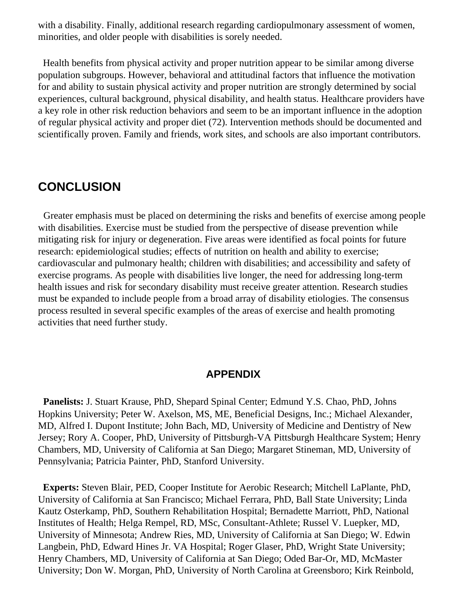with a disability. Finally, additional research regarding cardiopulmonary assessment of women, minorities, and older people with disabilities is sorely needed.

 Health benefits from physical activity and proper nutrition appear to be similar among diverse population subgroups. However, behavioral and attitudinal factors that influence the motivation for and ability to sustain physical activity and proper nutrition are strongly determined by social experiences, cultural background, physical disability, and health status. Healthcare providers have a key role in other risk reduction behaviors and seem to be an important influence in the adoption of regular physical activity and proper diet (72). Intervention methods should be documented and scientifically proven. Family and friends, work sites, and schools are also important contributors.

### **CONCLUSION**

 Greater emphasis must be placed on determining the risks and benefits of exercise among people with disabilities. Exercise must be studied from the perspective of disease prevention while mitigating risk for injury or degeneration. Five areas were identified as focal points for future research: epidemiological studies; effects of nutrition on health and ability to exercise; cardiovascular and pulmonary health; children with disabilities; and accessibility and safety of exercise programs. As people with disabilities live longer, the need for addressing long-term health issues and risk for secondary disability must receive greater attention. Research studies must be expanded to include people from a broad array of disability etiologies. The consensus process resulted in several specific examples of the areas of exercise and health promoting activities that need further study.

### **APPENDIX**

**Panelists:** J. Stuart Krause, PhD, Shepard Spinal Center; Edmund Y.S. Chao, PhD, Johns Hopkins University; Peter W. Axelson, MS, ME, Beneficial Designs, Inc.; Michael Alexander, MD, Alfred I. Dupont Institute; John Bach, MD, University of Medicine and Dentistry of New Jersey; Rory A. Cooper, PhD, University of Pittsburgh-VA Pittsburgh Healthcare System; Henry Chambers, MD, University of California at San Diego; Margaret Stineman, MD, University of Pennsylvania; Patricia Painter, PhD, Stanford University.

 **Experts:** Steven Blair, PED, Cooper Institute for Aerobic Research; Mitchell LaPlante, PhD, University of California at San Francisco; Michael Ferrara, PhD, Ball State University; Linda Kautz Osterkamp, PhD, Southern Rehabilitation Hospital; Bernadette Marriott, PhD, National Institutes of Health; Helga Rempel, RD, MSc, Consultant-Athlete; Russel V. Luepker, MD, University of Minnesota; Andrew Ries, MD, University of California at San Diego; W. Edwin Langbein, PhD, Edward Hines Jr. VA Hospital; Roger Glaser, PhD, Wright State University; Henry Chambers, MD, University of California at San Diego; Oded Bar-Or, MD, McMaster University; Don W. Morgan, PhD, University of North Carolina at Greensboro; Kirk Reinbold,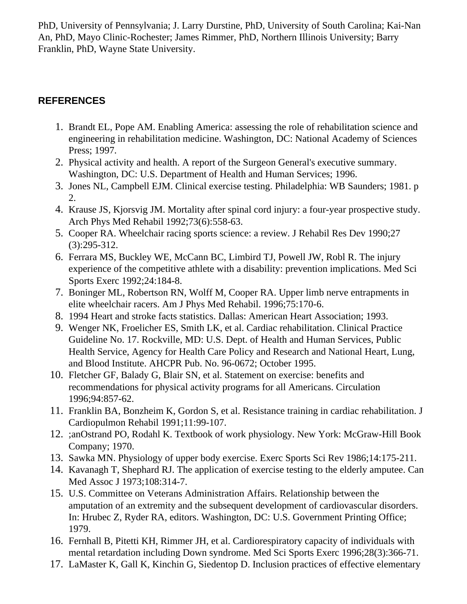PhD, University of Pennsylvania; J. Larry Durstine, PhD, University of South Carolina; Kai-Nan An, PhD, Mayo Clinic-Rochester; James Rimmer, PhD, Northern Illinois University; Barry Franklin, PhD, Wayne State University.

### **REFERENCES**

- 1. Brandt EL, Pope AM. Enabling America: assessing the role of rehabilitation science and engineering in rehabilitation medicine. Washington, DC: National Academy of Sciences Press; 1997.
- 2. Physical activity and health. A report of the Surgeon General's executive summary. Washington, DC: U.S. Department of Health and Human Services; 1996.
- 3. Jones NL, Campbell EJM. Clinical exercise testing. Philadelphia: WB Saunders; 1981. p 2.
- 4. Krause JS, Kjorsvig JM. Mortality after spinal cord injury: a four-year prospective study. Arch Phys Med Rehabil 1992;73(6):558-63.
- 5. Cooper RA. Wheelchair racing sports science: a review. J Rehabil Res Dev 1990;27 (3):295-312.
- 6. Ferrara MS, Buckley WE, McCann BC, Limbird TJ, Powell JW, Robl R. The injury experience of the competitive athlete with a disability: prevention implications. Med Sci Sports Exerc 1992;24:184-8.
- 7. Boninger ML, Robertson RN, Wolff M, Cooper RA. Upper limb nerve entrapments in elite wheelchair racers. Am J Phys Med Rehabil. 1996;75:170-6.
- 8. 1994 Heart and stroke facts statistics. Dallas: American Heart Association; 1993.
- 9. Wenger NK, Froelicher ES, Smith LK, et al. Cardiac rehabilitation. Clinical Practice Guideline No. 17. Rockville, MD: U.S. Dept. of Health and Human Services, Public Health Service, Agency for Health Care Policy and Research and National Heart, Lung, and Blood Institute. AHCPR Pub. No. 96-0672; October 1995.
- 10. Fletcher GF, Balady G, Blair SN, et al. Statement on exercise: benefits and recommendations for physical activity programs for all Americans. Circulation 1996;94:857-62.
- 11. Franklin BA, Bonzheim K, Gordon S, et al. Resistance training in cardiac rehabilitation. J Cardiopulmon Rehabil 1991;11:99-107.
- 12. ;anOstrand PO, Rodahl K. Textbook of work physiology. New York: McGraw-Hill Book Company; 1970.
- 13. Sawka MN. Physiology of upper body exercise. Exerc Sports Sci Rev 1986;14:175-211.
- 14. Kavanagh T, Shephard RJ. The application of exercise testing to the elderly amputee. Can Med Assoc J 1973;108:314-7.
- 15. U.S. Committee on Veterans Administration Affairs. Relationship between the amputation of an extremity and the subsequent development of cardiovascular disorders. In: Hrubec Z, Ryder RA, editors. Washington, DC: U.S. Government Printing Office; 1979.
- 16. Fernhall B, Pitetti KH, Rimmer JH, et al. Cardiorespiratory capacity of individuals with mental retardation including Down syndrome. Med Sci Sports Exerc 1996;28(3):366-71.
- 17. LaMaster K, Gall K, Kinchin G, Siedentop D. Inclusion practices of effective elementary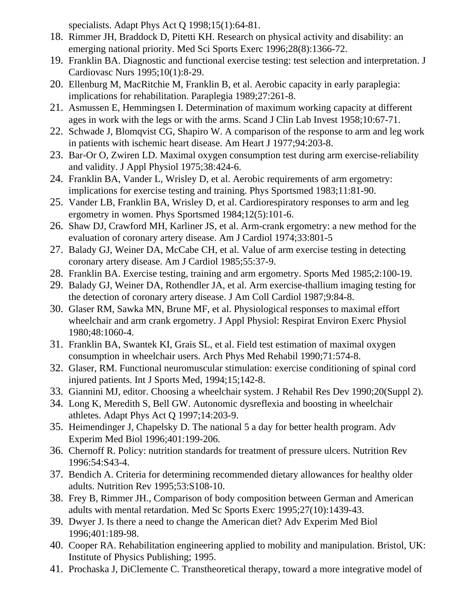specialists. Adapt Phys Act Q 1998;15(1):64-81.

- 18. Rimmer JH, Braddock D, Pitetti KH. Research on physical activity and disability: an emerging national priority. Med Sci Sports Exerc 1996;28(8):1366-72.
- 19. Franklin BA. Diagnostic and functional exercise testing: test selection and interpretation. J Cardiovasc Nurs 1995;10(1):8-29.
- 20. Ellenburg M, MacRitchie M, Franklin B, et al. Aerobic capacity in early paraplegia: implications for rehabilitation. Paraplegia 1989;27:261-8.
- 21. Asmussen E, Hemmingsen I. Determination of maximum working capacity at different ages in work with the legs or with the arms. Scand J Clin Lab Invest 1958;10:67-71.
- 22. Schwade J, Blomqvist CG, Shapiro W. A comparison of the response to arm and leg work in patients with ischemic heart disease. Am Heart J 1977;94:203-8.
- 23. Bar-Or O, Zwiren LD. Maximal oxygen consumption test during arm exercise-reliability and validity. J Appl Physiol 1975;38:424-6.
- 24. Franklin BA, Vander L, Wrisley D, et al. Aerobic requirements of arm ergometry: implications for exercise testing and training. Phys Sportsmed 1983;11:81-90.
- 25. Vander LB, Franklin BA, Wrisley D, et al. Cardiorespiratory responses to arm and leg ergometry in women. Phys Sportsmed 1984;12(5):101-6.
- 26. Shaw DJ, Crawford MH, Karliner JS, et al. Arm-crank ergometry: a new method for the evaluation of coronary artery disease. Am J Cardiol 1974;33:801-5
- 27. Balady GJ, Weiner DA, McCabe CH, et al. Value of arm exercise testing in detecting coronary artery disease. Am J Cardiol 1985;55:37-9.
- 28. Franklin BA. Exercise testing, training and arm ergometry. Sports Med 1985;2:100-19.
- 29. Balady GJ, Weiner DA, Rothendler JA, et al. Arm exercise-thallium imaging testing for the detection of coronary artery disease. J Am Coll Cardiol 1987;9:84-8.
- 30. Glaser RM, Sawka MN, Brune MF, et al. Physiological responses to maximal effort wheelchair and arm crank ergometry. J Appl Physiol: Respirat Environ Exerc Physiol 1980;48:1060-4.
- 31. Franklin BA, Swantek KI, Grais SL, et al. Field test estimation of maximal oxygen consumption in wheelchair users. Arch Phys Med Rehabil 1990;71:574-8.
- 32. Glaser, RM. Functional neuromuscular stimulation: exercise conditioning of spinal cord injured patients. Int J Sports Med, 1994;15;142-8.
- 33. Giannini MJ, editor. Choosing a wheelchair system. J Rehabil Res Dev 1990;20(Suppl 2).
- 34. Long K, Meredith S, Bell GW. Autonomic dysreflexia and boosting in wheelchair athletes. Adapt Phys Act Q 1997;14:203-9.
- 35. Heimendinger J, Chapelsky D. The national 5 a day for better health program. Adv Experim Med Biol 1996;401:199-206.
- 36. Chernoff R. Policy: nutrition standards for treatment of pressure ulcers. Nutrition Rev 1996:54:S43-4.
- 37. Bendich A. Criteria for determining recommended dietary allowances for healthy older adults. Nutrition Rev 1995;53:S108-10.
- 38. Frey B, Rimmer JH., Comparison of body composition between German and American adults with mental retardation. Med Sc Sports Exerc 1995;27(10):1439-43.
- 39. Dwyer J. Is there a need to change the American diet? Adv Experim Med Biol 1996;401:189-98.
- 40. Cooper RA. Rehabilitation engineering applied to mobility and manipulation. Bristol, UK: Institute of Physics Publishing; 1995.
- 41. Prochaska J, DiClemente C. Transtheoretical therapy, toward a more integrative model of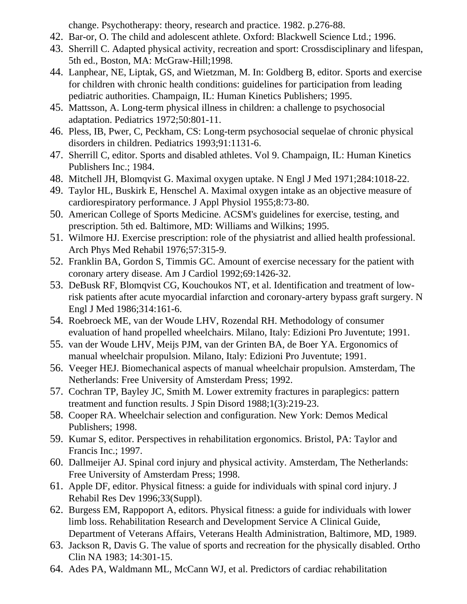change. Psychotherapy: theory, research and practice. 1982. p.276-88.

- 42. Bar-or, O. The child and adolescent athlete. Oxford: Blackwell Science Ltd.; 1996.
- 43. Sherrill C. Adapted physical activity, recreation and sport: Crossdisciplinary and lifespan, 5th ed., Boston, MA: McGraw-Hill;1998.
- 44. Lanphear, NE, Liptak, GS, and Wietzman, M. In: Goldberg B, editor. Sports and exercise for children with chronic health conditions: guidelines for participation from leading pediatric authorities. Champaign, IL: Human Kinetics Publishers; 1995.
- 45. Mattsson, A. Long-term physical illness in children: a challenge to psychosocial adaptation. Pediatrics 1972;50:801-11.
- 46. Pless, IB, Pwer, C, Peckham, CS: Long-term psychosocial sequelae of chronic physical disorders in children. Pediatrics 1993;91:1131-6.
- 47. Sherrill C, editor. Sports and disabled athletes. Vol 9. Champaign, IL: Human Kinetics Publishers Inc.; 1984.
- 48. Mitchell JH, Blomqvist G. Maximal oxygen uptake. N Engl J Med 1971;284:1018-22.
- 49. Taylor HL, Buskirk E, Henschel A. Maximal oxygen intake as an objective measure of cardiorespiratory performance. J Appl Physiol 1955;8:73-80.
- 50. American College of Sports Medicine. ACSM's guidelines for exercise, testing, and prescription. 5th ed. Baltimore, MD: Williams and Wilkins; 1995.
- 51. Wilmore HJ. Exercise prescription: role of the physiatrist and allied health professional. Arch Phys Med Rehabil 1976;57:315-9.
- 52. Franklin BA, Gordon S, Timmis GC. Amount of exercise necessary for the patient with coronary artery disease. Am J Cardiol 1992;69:1426-32.
- 53. DeBusk RF, Blomqvist CG, Kouchoukos NT, et al. Identification and treatment of lowrisk patients after acute myocardial infarction and coronary-artery bypass graft surgery. N Engl J Med 1986;314:161-6.
- 54. Roebroeck ME, van der Woude LHV, Rozendal RH. Methodology of consumer evaluation of hand propelled wheelchairs. Milano, Italy: Edizioni Pro Juventute; 1991.
- 55. van der Woude LHV, Meijs PJM, van der Grinten BA, de Boer YA. Ergonomics of manual wheelchair propulsion. Milano, Italy: Edizioni Pro Juventute; 1991.
- 56. Veeger HEJ. Biomechanical aspects of manual wheelchair propulsion. Amsterdam, The Netherlands: Free University of Amsterdam Press; 1992.
- 57. Cochran TP, Bayley JC, Smith M. Lower extremity fractures in paraplegics: pattern treatment and function results. J Spin Disord 1988;1(3):219-23.
- 58. Cooper RA. Wheelchair selection and configuration. New York: Demos Medical Publishers; 1998.
- 59. Kumar S, editor. Perspectives in rehabilitation ergonomics. Bristol, PA: Taylor and Francis Inc.; 1997.
- 60. Dallmeijer AJ. Spinal cord injury and physical activity. Amsterdam, The Netherlands: Free University of Amsterdam Press; 1998.
- 61. Apple DF, editor. Physical fitness: a guide for individuals with spinal cord injury. J Rehabil Res Dev 1996;33(Suppl).
- 62. Burgess EM, Rappoport A, editors. Physical fitness: a guide for individuals with lower limb loss. Rehabilitation Research and Development Service A Clinical Guide, Department of Veterans Affairs, Veterans Health Administration, Baltimore, MD, 1989.
- 63. Jackson R, Davis G. The value of sports and recreation for the physically disabled. Ortho Clin NA 1983; 14:301-15.
- 64. Ades PA, Waldmann ML, McCann WJ, et al. Predictors of cardiac rehabilitation